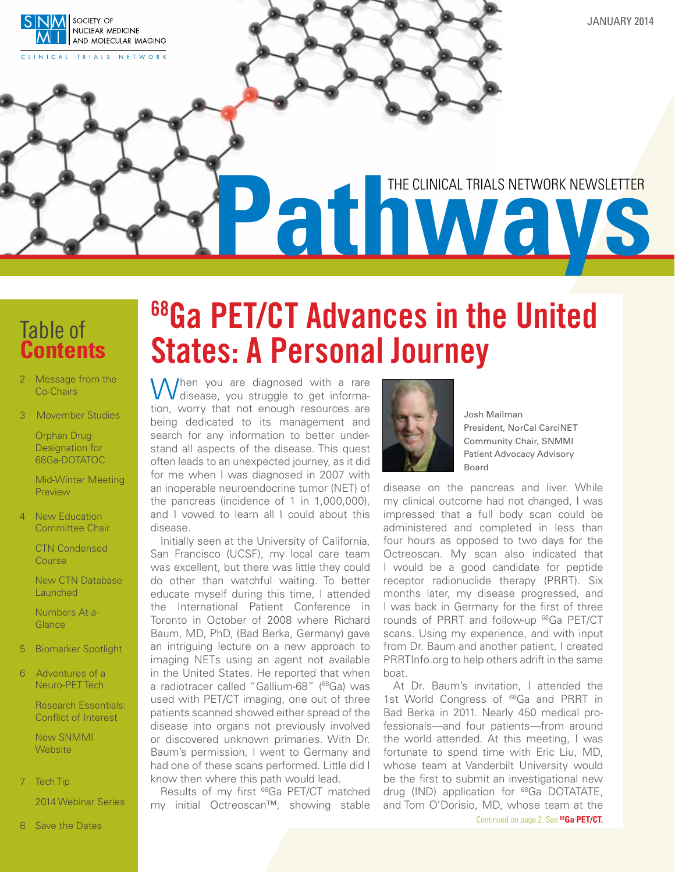<span id="page-0-0"></span>

January 2014

# **Pathways** THE CLINICAL TRIALS NETWORK NEWSLETTER

### Table of **Contents**

- 2 Message from the Co-Chairs
- 3 Movember Studies

Orphan Drug Designation for 68Ga-DOTATOC

Mid-Winter Meeting **Preview** 

4 New Education Committee Chair

> CTN Condensed **Course**

 New CTN Database **Launched** 

Numbers At-a-**Glance** 

- 5 Biomarker Spotlight
- 6 Adventures of a Neuro-PET Tech

Research Essentials: Conflict of Interest

 New SNMMI **Website** 

7 Tech Tip

2014 Webinar Series

# 68Ga PET/CT Advances in the United States: A Personal Journey

When you are diagnosed with a rare<br>disease, you struggle to get information, worry that not enough resources are being dedicated to its management and search for any information to better understand all aspects of the disease. This quest often leads to an unexpected journey, as it did for me when I was diagnosed in 2007 with an inoperable neuroendocrine tumor (NET) of the pancreas (incidence of 1 in 1,000,000), and I vowed to learn all I could about this disease.

Initially seen at the University of California, San Francisco (UCSF), my local care team was excellent, but there was little they could do other than watchful waiting. To better educate myself during this time, I attended the International Patient Conference in Toronto in October of 2008 where Richard Baum, MD, PhD, (Bad Berka, Germany) gave an intriguing lecture on a new approach to imaging NETs using an agent not available in the United States. He reported that when a radiotracer called "Gallium-68" (<sup>68</sup>Ga) was used with PET/CT imaging, one out of three patients scanned showed either spread of the disease into organs not previously involved or discovered unknown primaries. With Dr. Baum's permission, I went to Germany and had one of these scans performed. Little did I know then where this path would lead.

Results of my first 68Ga PET/CT matched my initial Octreoscan™, showing stable



Josh Mailman President, NorCal CarciNET Community Chair, SNMMI Patient Advocacy Advisory Board

disease on the pancreas and liver. While my clinical outcome had not changed, I was impressed that a full body scan could be administered and completed in less than four hours as opposed to two days for the Octreoscan. My scan also indicated that I would be a good candidate for peptide receptor radionuclide therapy (PRRT). Six months later, my disease progressed, and I was back in Germany for the first of three rounds of PRRT and follow-up 68Ga PET/CT scans. Using my experience, and with input from Dr. Baum and another patient, I created PRRTInfo.org to help others adrift in the same boat.

At Dr. Baum's invitation, I attended the 1st World Congress of <sup>68</sup>Ga and PRRT in Bad Berka in 2011. Nearly 450 medical professionals—and four patients—from around the world attended. At this meeting, I was fortunate to spend time with Eric Liu, MD, whose team at Vanderbilt University would be the first to submit an investigational new drug (IND) application for 68Ga DOTATATE, and Tom O'Dorisio[, MD, whose team at the](#page-1-0) Continued on page 2. See **68Ga PET/CT.**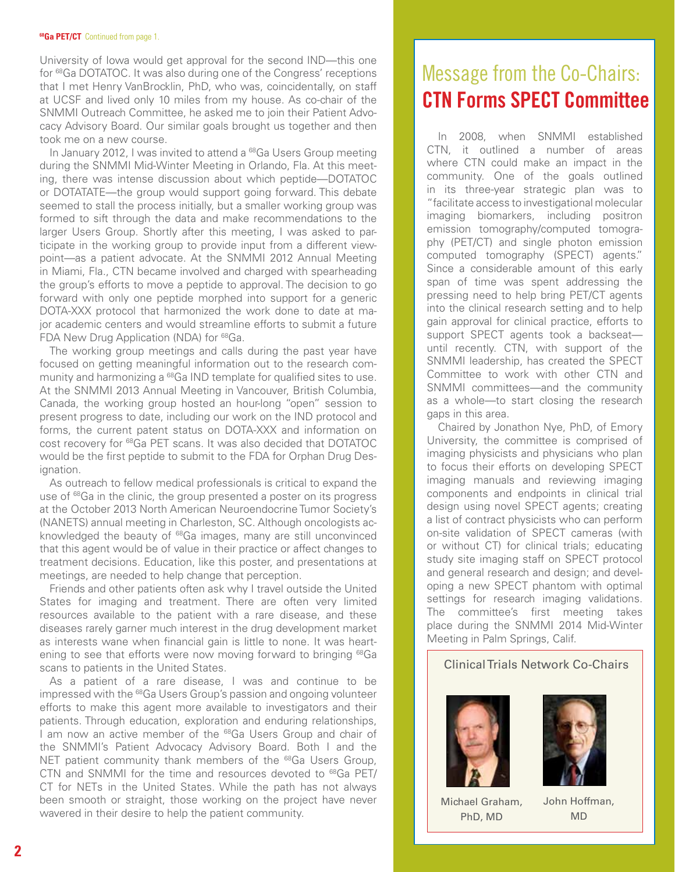#### <span id="page-1-0"></span>**68Ga PET/CT** [Continued from page 1.](#page-0-0)

University of Iowa would get approval for the second IND—this one for 68Ga DOTATOC. It was also during one of the Congress' receptions that I met Henry VanBrocklin, PhD, who was, coincidentally, on staff at UCSF and lived only 10 miles from my house. As co-chair of the SNMMI Outreach Committee, he asked me to join their Patient Advocacy Advisory Board. Our similar goals brought us together and then took me on a new course.

In January 2012, I was invited to attend a <sup>68</sup>Ga Users Group meeting during the SNMMI Mid-Winter Meeting in Orlando, Fla. At this meeting, there was intense discussion about which peptide—DOTATOC or DOTATATE—the group would support going forward. This debate seemed to stall the process initially, but a smaller working group was formed to sift through the data and make recommendations to the larger Users Group. Shortly after this meeting, I was asked to participate in the working group to provide input from a different viewpoint—as a patient advocate. At the SNMMI 2012 Annual Meeting in Miami, Fla., CTN became involved and charged with spearheading the group's efforts to move a peptide to approval. The decision to go forward with only one peptide morphed into support for a generic DOTA-XXX protocol that harmonized the work done to date at major academic centers and would streamline efforts to submit a future FDA New Drug Application (NDA) for <sup>68</sup>Ga.

The working group meetings and calls during the past year have focused on getting meaningful information out to the research community and harmonizing a <sup>68</sup>Ga IND template for qualified sites to use. At the SNMMI 2013 Annual Meeting in Vancouver, British Columbia, Canada, the working group hosted an hour-long "open" session to present progress to date, including our work on the IND protocol and forms, the current patent status on DOTA-XXX and information on cost recovery for 68Ga PET scans. It was also decided that DOTATOC would be the first peptide to submit to the FDA for Orphan Drug Designation.

As outreach to fellow medical professionals is critical to expand the use of <sup>68</sup>Ga in the clinic, the group presented a poster on its progress at the October 2013 North American Neuroendocrine Tumor Society's (NANETS) annual meeting in Charleston, SC. Although oncologists acknowledged the beauty of <sup>68</sup>Ga images, many are still unconvinced that this agent would be of value in their practice or affect changes to treatment decisions. Education, like this poster, and presentations at meetings, are needed to help change that perception.

Friends and other patients often ask why I travel outside the United States for imaging and treatment. There are often very limited resources available to the patient with a rare disease, and these diseases rarely garner much interest in the drug development market as interests wane when financial gain is little to none. It was heartening to see that efforts were now moving forward to bringing <sup>68</sup>Ga scans to patients in the United States.

As a patient of a rare disease, I was and continue to be impressed with the <sup>68</sup>Ga Users Group's passion and ongoing volunteer efforts to make this agent more available to investigators and their patients. Through education, exploration and enduring relationships, I am now an active member of the <sup>68</sup>Ga Users Group and chair of the SNMMI's Patient Advocacy Advisory Board. Both I and the NET patient community thank members of the <sup>68</sup>Ga Users Group, CTN and SNMMI for the time and resources devoted to 68Ga PET/ CT for NETs in the United States. While the path has not always been smooth or straight, those working on the project have never wavered in their desire to help the patient community.

# Message from the Co-Chairs: CTN Forms SPECT Committee

In 2008, when SNMMI established CTN, it outlined a number of areas where CTN could make an impact in the community. One of the goals outlined in its three-year strategic plan was to "facilitate access to investigational molecular imaging biomarkers, including positron emission tomography/computed tomography (PET/CT) and single photon emission computed tomography (SPECT) agents." Since a considerable amount of this early span of time was spent addressing the pressing need to help bring PET/CT agents into the clinical research setting and to help gain approval for clinical practice, efforts to support SPECT agents took a backseat until recently. CTN, with support of the SNMMI leadership, has created the SPECT Committee to work with other CTN and SNMMI committees—and the community as a whole—to start closing the research gaps in this area.

Chaired by Jonathon Nye, PhD, of Emory University, the committee is comprised of imaging physicists and physicians who plan to focus their efforts on developing SPECT imaging manuals and reviewing imaging components and endpoints in clinical trial design using novel SPECT agents; creating a list of contract physicists who can perform on-site validation of SPECT cameras (with or without CT) for clinical trials; educating study site imaging staff on SPECT protocol and general research and design; and developing a new SPECT phantom with optimal settings for research imaging validations. The committee's first meeting takes place during the SNMMI 2014 Mid-Winter Meeting in Palm Springs, Calif.

#### Clinical Trials Network Co-Chairs



Michael Graham, PhD, MD

John Hoffman, MD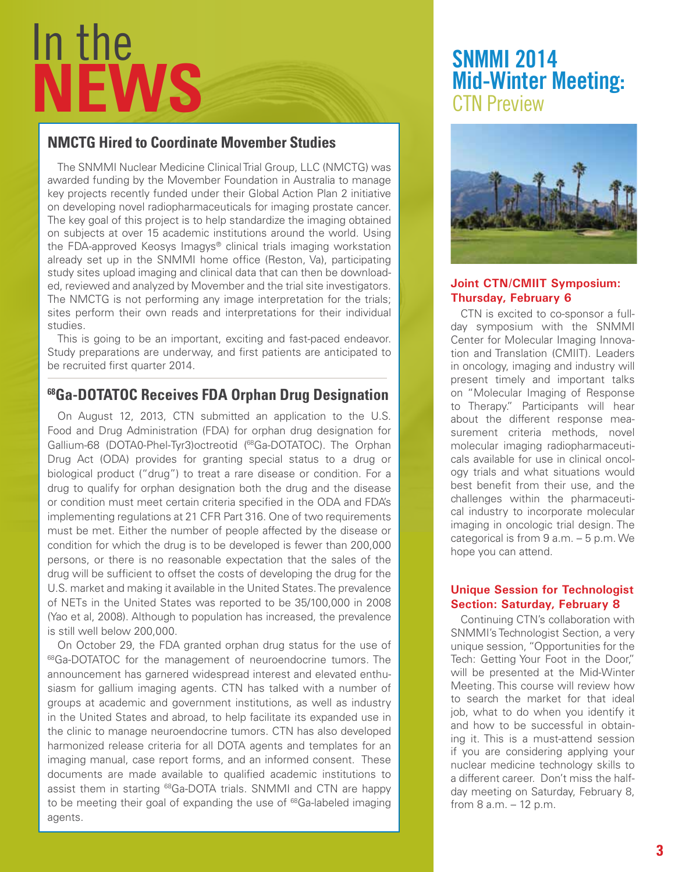# In the **News**

#### **NMCTG Hired to Coordinate Movember Studies**

The SNMMI Nuclear Medicine Clinical Trial Group, LLC (NMCTG) was awarded funding by the Movember Foundation in Australia to manage key projects recently funded under their Global Action Plan 2 initiative on developing novel radiopharmaceuticals for imaging prostate cancer. The key goal of this project is to help standardize the imaging obtained on subjects at over 15 academic institutions around the world. Using the FDA-approved Keosys Imagys® clinical trials imaging workstation already set up in the SNMMI home office (Reston, Va), participating study sites upload imaging and clinical data that can then be downloaded, reviewed and analyzed by Movember and the trial site investigators. The NMCTG is not performing any image interpretation for the trials; sites perform their own reads and interpretations for their individual studies.

This is going to be an important, exciting and fast-paced endeavor. Study preparations are underway, and first patients are anticipated to be recruited first quarter 2014.

#### **68Ga-DOTATOC Receives FDA Orphan Drug Designation**

On August 12, 2013, CTN submitted an application to the U.S. Food and Drug Administration (FDA) for orphan drug designation for Gallium-68 (DOTA0-Phel-Tyr3) octreotid (<sup>68</sup>Ga-DOTATOC). The Orphan Drug Act (ODA) provides for granting special status to a drug or biological product ("drug") to treat a rare disease or condition. For a drug to qualify for orphan designation both the drug and the disease or condition must meet certain criteria specified in the ODA and FDA's implementing regulations at 21 CFR Part 316. One of two requirements must be met. Either the number of people affected by the disease or condition for which the drug is to be developed is fewer than 200,000 persons, or there is no reasonable expectation that the sales of the drug will be sufficient to offset the costs of developing the drug for the U.S. market and making it available in the United States. The prevalence of NETs in the United States was reported to be 35/100,000 in 2008 (Yao et al, 2008). Although to population has increased, the prevalence is still well below 200,000.

On October 29, the FDA granted orphan drug status for the use of 68Ga-DOTATOC for the management of neuroendocrine tumors. The announcement has garnered widespread interest and elevated enthusiasm for gallium imaging agents. CTN has talked with a number of groups at academic and government institutions, as well as industry in the United States and abroad, to help facilitate its expanded use in the clinic to manage neuroendocrine tumors. CTN has also developed harmonized release criteria for all DOTA agents and templates for an imaging manual, case report forms, and an informed consent. These documents are made available to qualified academic institutions to assist them in starting <sup>68</sup>Ga-DOTA trials. SNMMI and CTN are happy to be meeting their goal of expanding the use of <sup>68</sup>Ga-labeled imaging agents.

# SNMMI 2014 Mid-Winter Meeting: CTN Preview



#### **Joint CTN/CMIIT Symposium: Thursday, February 6**

CTN is excited to co-sponsor a fullday symposium with the SNMMI Center for Molecular Imaging Innovation and Translation (CMIIT). Leaders in oncology, imaging and industry will present timely and important talks on "Molecular Imaging of Response to Therapy." Participants will hear about the different response measurement criteria methods, novel molecular imaging radiopharmaceuticals available for use in clinical oncology trials and what situations would best benefit from their use, and the challenges within the pharmaceutical industry to incorporate molecular imaging in oncologic trial design. The categorical is from 9 a.m. – 5 p.m. We hope you can attend.

#### **Unique Session for Technologist Section: Saturday, February 8**

Continuing CTN's collaboration with SNMMI's Technologist Section, a very unique session, "Opportunities for the Tech: Getting Your Foot in the Door," will be presented at the Mid-Winter Meeting. This course will review how to search the market for that ideal job, what to do when you identify it and how to be successful in obtaining it. This is a must-attend session if you are considering applying your nuclear medicine technology skills to a different career. Don't miss the halfday meeting on Saturday, February 8, from 8 a.m. – 12 p.m.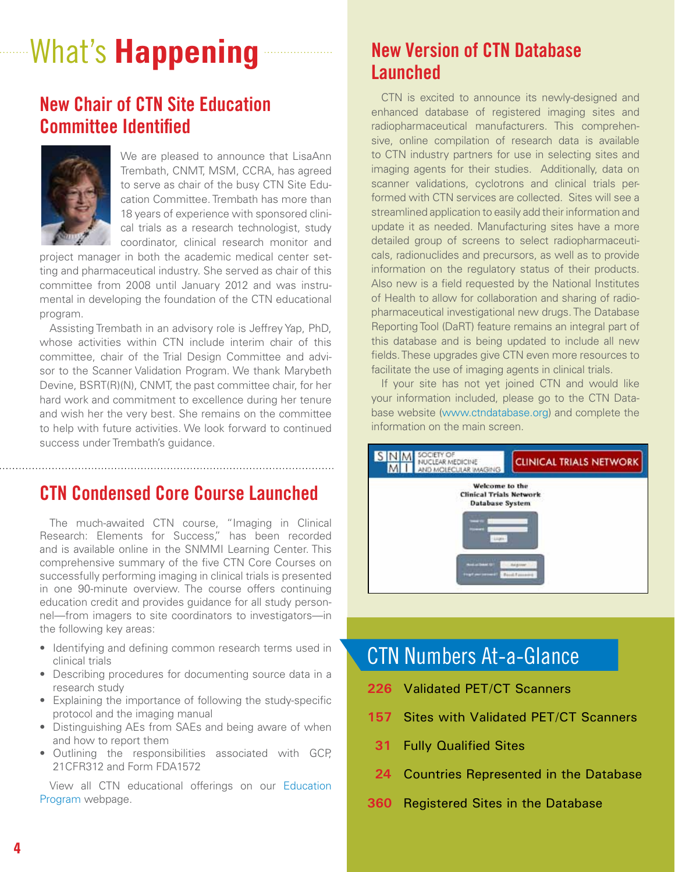# What's **Happening**

### New Chair of CTN Site Education Committee Identified



 We are pleased to announce that LisaAnn Trembath, CNMT, MSM, CCRA, has agreed to serve as chair of the busy CTN Site Education Committee. Trembath has more than 18 years of experience with sponsored clinical trials as a research technologist, study coordinator, clinical research monitor and

project manager in both the academic medical center setting and pharmaceutical industry. She served as chair of this committee from 2008 until January 2012 and was instrumental in developing the foundation of the CTN educational program.

Assisting Trembath in an advisory role is Jeffrey Yap, PhD, whose activities within CTN include interim chair of this committee, chair of the Trial Design Committee and advisor to the Scanner Validation Program. We thank Marybeth Devine, BSRT(R)(N), CNMT, the past committee chair, for her hard work and commitment to excellence during her tenure and wish her the very best. She remains on the committee to help with future activities. We look forward to continued success under Trembath's guidance.

#### CTN Condensed Core Course Launched

The much-awaited CTN course, "Imaging in Clinical Research: Elements for Success," has been recorded and is available online in the SNMMI Learning Center. This comprehensive summary of the five CTN Core Courses on successfully performing imaging in clinical trials is presented in one 90-minute overview. The course offers continuing education credit and provides guidance for all study personnel—from imagers to site coordinators to investigators—in the following key areas:

- Identifying and defining common research terms used in clinical trials
- Describing procedures for documenting source data in a research study
- Explaining the importance of following the study-specific protocol and the imaging manual
- Distinguishing AEs from SAEs and being aware of when and how to report them
- • Outlining the responsibilities associated with GCP, 21CFR312 and Form FDA1572

[View all CTN educational offerings on our Education](http://www.snmmi.org/Research/Content.aspx?ItemNumber=5483&navItemNumber=6833)  Program webpage.

## New Version of CTN Database Launched

CTN is excited to announce its newly-designed and enhanced database of registered imaging sites and radiopharmaceutical manufacturers. This comprehensive, online compilation of research data is available to CTN industry partners for use in selecting sites and imaging agents for their studies. Additionally, data on scanner validations, cyclotrons and clinical trials performed with CTN services are collected. Sites will see a streamlined application to easily add their information and update it as needed. Manufacturing sites have a more detailed group of screens to select radiopharmaceuticals, radionuclides and precursors, as well as to provide information on the regulatory status of their products. Also new is a field requested by the National Institutes of Health to allow for collaboration and sharing of radiopharmaceutical investigational new drugs. The Database Reporting Tool (DaRT) feature remains an integral part of this database and is being updated to include all new fields. These upgrades give CTN even more resources to facilitate the use of imaging agents in clinical trials.

If your site has not yet joined CTN and would like your information included, please go to the CTN Database website (www.ctndatabase.org) and complete the information on the main screen.



# CTN Numbers At-a-Glance

- **226** Validated PET/CT Scanners
- **157** Sites with Validated PET/CT Scanners
- **31** Fully Qualified Sites
- **24** Countries Represented in the Database
- **360** Registered Sites in the Database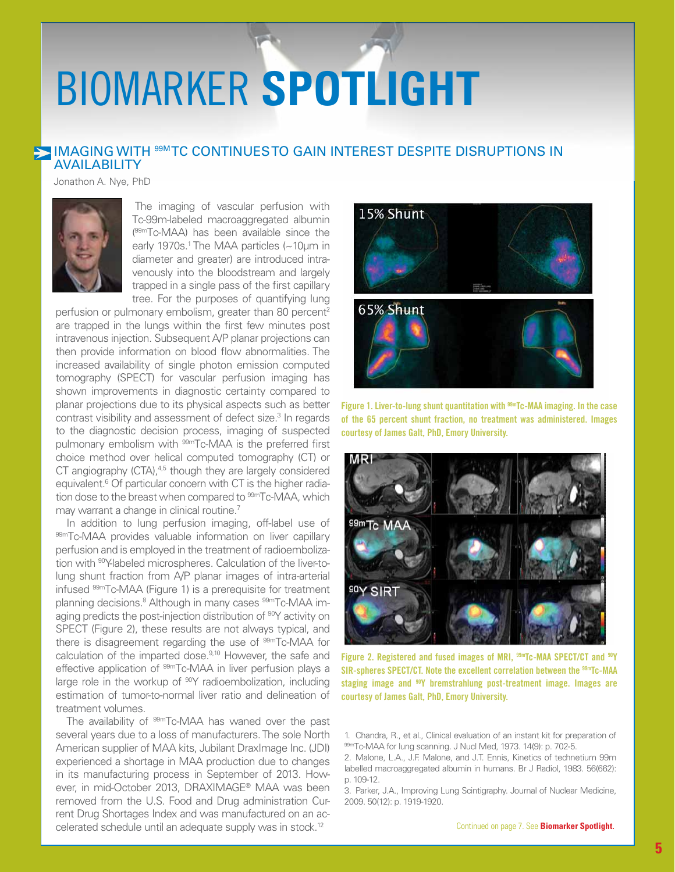# <span id="page-4-0"></span>BIOMARKER **Spotlight**

#### **IMAGING WITH <sup>99M</sup>TC CONTINUESTO GAIN INTEREST DESPITE DISRUPTIONS IN AVAILABILITY**

Jonathon A. Nye, PhD



The imaging of vascular perfusion with Tc-99m-labeled macroaggregated albumin (99mTc-MAA) has been available since the early 1970s.<sup>1</sup> The MAA particles (~10µm in diameter and greater) are introduced intravenously into the bloodstream and largely trapped in a single pass of the first capillary tree. For the purposes of quantifying lung

perfusion or pulmonary embolism, greater than 80 percent<sup>2</sup> are trapped in the lungs within the first few minutes post intravenous injection. Subsequent A/P planar projections can then provide information on blood flow abnormalities. The increased availability of single photon emission computed tomography (SPECT) for vascular perfusion imaging has shown improvements in diagnostic certainty compared to planar projections due to its physical aspects such as better contrast visibility and assessment of defect size.<sup>3</sup> In regards to the diagnostic decision process, imaging of suspected pulmonary embolism with <sup>99m</sup>Tc-MAA is the preferred first choice method over helical computed tomography (CT) or CT angiography (CTA),<sup>4,5</sup> though they are largely considered equivalent.<sup>6</sup> Of particular concern with CT is the higher radiation dose to the breast when compared to <sup>99m</sup>Tc-MAA, which may warrant a change in clinical routine.<sup>7</sup>

In addition to lung perfusion imaging, off-label use of 99mTc-MAA provides valuable information on liver capillary perfusion and is employed in the treatment of radioembolization with <sup>90</sup>Y-labeled microspheres. Calculation of the liver-tolung shunt fraction from A/P planar images of intra-arterial infused 99mTc-MAA (Figure 1) is a prerequisite for treatment planning decisions.<sup>8</sup> Although in many cases <sup>99m</sup>Tc-MAA imaging predicts the post-injection distribution of <sup>90</sup>Y activity on SPECT (Figure 2), these results are not always typical, and there is disagreement regarding the use of <sup>99m</sup>Tc-MAA for calculation of the imparted dose.<sup>9,10</sup> However, the safe and effective application of <sup>99m</sup>Tc-MAA in liver perfusion plays a large role in the workup of <sup>90</sup>Y radioembolization, including estimation of tumor-to-normal liver ratio and delineation of treatment volumes.

The availability of <sup>99m</sup>Tc-MAA has waned over the past several years due to a loss of manufacturers. The sole North American supplier of MAA kits, Jubilant DraxImage Inc. (JDI) experienced a shortage in MAA production due to changes in its manufacturing process in September of 2013. However, in mid-October 2013, DRAXIMAGE® MAA was been removed from the U.S. Food and Drug administration Current Drug Shortages Index and was manufactured on an accelerated schedule until an adequate supply was in stock.12



Figure 1. Liver-to-lung shunt quantitation with  $99m$ Tc-MAA imaging. In the case of the 65 percent shunt fraction, no treatment was administered. Images courtesy of James Galt, PhD, Emory University.



Figure 2. Registered and fused images of MRI,  $99m$ Tc-MAA SPECT/CT and  $90Y$ SIR-spheres SPECT/CT. Note the excellent correlation between the <sup>99m</sup>Tc-MAA staging image and <sup>90</sup>Y bremstrahlung post-treatment image. Images are courtesy of James Galt, PhD, Emory University.

- 1. Chandra, R., et al., Clinical evaluation of an instant kit for preparation of 99mTc-MAA for lung scanning. J Nucl Med, 1973. 14(9): p. 702-5.
- 2. Malone, L.A., J.F. Malone, and J.T. Ennis, Kinetics of technetium 99m labelled macroaggregated albumin in humans. Br J Radiol, 1983. 56(662): p. 109-12.

3. Parker, J.A., Improving Lung Scintigraphy. Journal of Nuclear Medicine, 2009. 50(12): p. 1919-1920.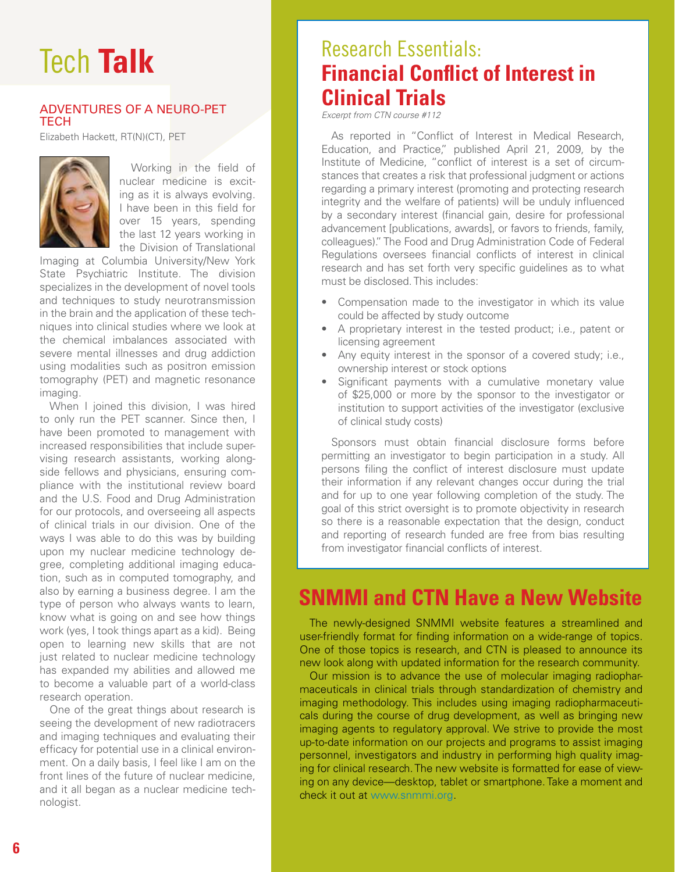# Tech **Talk**

#### Adventures of a Neuro-PET **TECH**

Elizabeth Hackett, RT(N)(CT), PET



Working in the field of nuclear medicine is exciting as it is always evolving. I have been in this field for over 15 years, spending the last 12 years working in the Division of Translational

Imaging at Columbia University/New York State Psychiatric Institute. The division specializes in the development of novel tools and techniques to study neurotransmission in the brain and the application of these techniques into clinical studies where we look at the chemical imbalances associated with severe mental illnesses and drug addiction using modalities such as positron emission tomography (PET) and magnetic resonance imaging.

When I joined this division, I was hired to only run the PET scanner. Since then, I have been promoted to management with increased responsibilities that include supervising research assistants, working alongside fellows and physicians, ensuring compliance with the institutional review board and the U.S. Food and Drug Administration for our protocols, and overseeing all aspects of clinical trials in our division. One of the ways I was able to do this was by building upon my nuclear medicine technology degree, completing additional imaging education, such as in computed tomography, and also by earning a business degree. I am the type of person who always wants to learn, know what is going on and see how things work (yes, I took things apart as a kid). Being open to learning new skills that are not just related to nuclear medicine technology has expanded my abilities and allowed me to become a valuable part of a world-class research operation.

One of the great things about research is seeing the development of new radiotracers and imaging techniques and evaluating their efficacy for potential use in a clinical environment. On a daily basis, I feel like I am on the front lines of the future of nuclear medicine, and it all began as a nuclear medicine technologist.

# Research Essentials: **Financial Conflict of Interest in Clinical Trials**

*Excerpt from CTN course #112*

As reported in "Conflict of Interest in Medical Research, Education, and Practice," published April 21, 2009, by the Institute of Medicine, "conflict of interest is a set of circumstances that creates a risk that professional judgment or actions regarding a primary interest (promoting and protecting research integrity and the welfare of patients) will be unduly influenced by a secondary interest (financial gain, desire for professional advancement [publications, awards], or favors to friends, family, colleagues)." The Food and Drug Administration Code of Federal Regulations oversees financial conflicts of interest in clinical research and has set forth very specific guidelines as to what must be disclosed. This includes:

- Compensation made to the investigator in which its value could be affected by study outcome
- A proprietary interest in the tested product; i.e., patent or licensing agreement
- Any equity interest in the sponsor of a covered study; i.e., ownership interest or stock options
- Significant payments with a cumulative monetary value of \$25,000 or more by the sponsor to the investigator or institution to support activities of the investigator (exclusive of clinical study costs)

Sponsors must obtain financial disclosure forms before permitting an investigator to begin participation in a study. All persons filing the conflict of interest disclosure must update their information if any relevant changes occur during the trial and for up to one year following completion of the study. The goal of this strict oversight is to promote objectivity in research so there is a reasonable expectation that the design, conduct and reporting of research funded are free from bias resulting from investigator financial conflicts of interest.

# **SNMMI and CTN Have a New Website**

The newly-designed SNMMI website features a streamlined and user-friendly format for finding information on a wide-range of topics. One of those topics is research, and CTN is pleased to announce its new look along with updated information for the research community.

Our mission is to advance the use of molecular imaging radiopharmaceuticals in clinical trials through standardization of chemistry and imaging methodology. This includes using imaging radiopharmaceuticals during the course of drug development, as well as bringing new imaging agents to regulatory approval. We strive to provide the most up-to-date information on our projects and programs to assist imaging personnel, investigators and industry in performing high quality imaging for clinical research. The new website is formatted for ease of viewing on any device—desktop, tablet or smartphone. Take a moment and check it out at www.snmmi.org.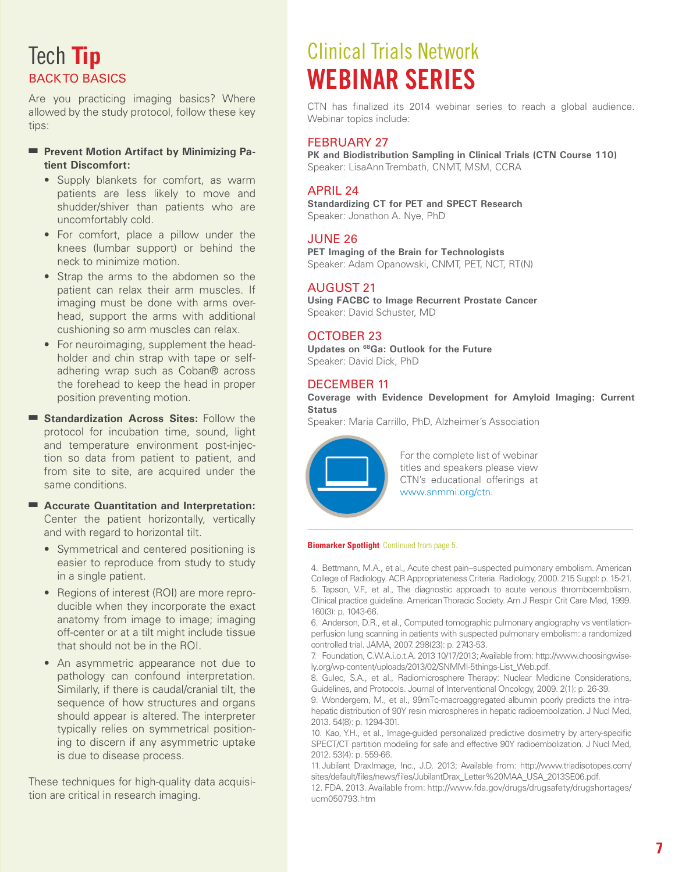# <span id="page-6-0"></span>Tech **Tip** Back to Basics

Are you practicing imaging basics? Where allowed by the study protocol, follow these key tips:

#### **Prevent Motion Artifact by Minimizing Patient Discomfort:**

- Supply blankets for comfort, as warm patients are less likely to move and shudder/shiver than patients who are uncomfortably cold.
- For comfort, place a pillow under the knees (lumbar support) or behind the neck to minimize motion.
- Strap the arms to the abdomen so the patient can relax their arm muscles. If imaging must be done with arms overhead, support the arms with additional cushioning so arm muscles can relax.
- For neuroimaging, supplement the headholder and chin strap with tape or selfadhering wrap such as Coban® across the forehead to keep the head in proper position preventing motion.
- **Example 3 Standardization Across Sites:** Follow the protocol for incubation time, sound, light and temperature environment post-injection so data from patient to patient, and from site to site, are acquired under the same conditions.
- Accurate Quantitation and Interpretation: Center the patient horizontally, vertically and with regard to horizontal tilt.
	- Symmetrical and centered positioning is easier to reproduce from study to study in a single patient.
	- Regions of interest (ROI) are more reproducible when they incorporate the exact anatomy from image to image; imaging off-center or at a tilt might include tissue that should not be in the ROI.
	- An asymmetric appearance not due to pathology can confound interpretation. Similarly, if there is caudal/cranial tilt, the sequence of how structures and organs should appear is altered. The interpreter typically relies on symmetrical positioning to discern if any asymmetric uptake is due to disease process.

These techniques for high-quality data acquisition are critical in research imaging.

# Clinical Trials Network Webinar Series

CTN has finalized its 2014 webinar series to reach a global audience. Webinar topics include:

#### FFBRUARY 27

**PK and Biodistribution Sampling in Clinical Trials (CTN Course 110)** Speaker: LisaAnn Trembath, CNMT, MSM, CCRA

#### APRIL 24

**Standardizing CT for PET and SPECT Research** Speaker: Jonathon A. Nye, PhD

#### June 26

**PET Imaging of the Brain for Technologists**  Speaker: Adam Opanowski, CNMT, PET, NCT, RT(N)

#### August 21

**Using FACBC to Image Recurrent Prostate Cancer** Speaker: David Schuster, MD

#### October 23

**Updates on 68Ga: Outlook for the Future** Speaker: David Dick, PhD

#### DECEMBER 11

**Coverage with Evidence Development for Amyloid Imaging: Current Status**

Speaker: Maria Carrillo, PhD, Alzheimer's Association



For the complete list of webinar titles and speakers please view CTN's educational offerings at www.snmmi.org/ctn.

#### **Biomarker Spotlight** [Continued from page 5.](#page-4-0)

4. Bettmann, M.A., et al., Acute chest pain--suspected pulmonary embolism. American College of Radiology. ACR Appropriateness Criteria. Radiology, 2000. 215 Suppl: p. 15-21. 5. Tapson, V.F., et al., The diagnostic approach to acute venous thromboembolism. Clinical practice guideline. American Thoracic Society. Am J Respir Crit Care Med, 1999. 160(3): p. 1043-66.

6. Anderson, D.R., et al., Computed tomographic pulmonary angiography vs ventilationperfusion lung scanning in patients with suspected pulmonary embolism: a randomized controlled trial. JAMA, 2007. 298(23): p. 2743-53.

7. Foundation, C.W.A.i.o.t.A. 2013 10/17/2013; Available from: http://www.choosingwisely.org/wp-content/uploads/2013/02/SNMMI-5things-List\_Web.pdf.

8. Gulec, S.A., et al., Radiomicrosphere Therapy: Nuclear Medicine Considerations, Guidelines, and Protocols. Journal of Interventional Oncology, 2009. 2(1): p. 26-39.

9. Wondergem, M., et al., 99mTc-macroaggregated albumin poorly predicts the intrahepatic distribution of 90Y resin microspheres in hepatic radioembolization. J Nucl Med, 2013. 54(8): p. 1294-301.

10. Kao, Y.H., et al., Image-guided personalized predictive dosimetry by artery-specific SPECT/CT partition modeling for safe and effective 90Y radioembolization. J Nucl Med, 2012. 53(4): p. 559-66.

11. Jubilant DraxImage, Inc., J.D. 2013; Available from: http://www.triadisotopes.com/ sites/default/files/news/files/JubilantDrax\_Letter%20MAA\_USA\_2013SE06.pdf.

12. FDA. 2013. Available from: http://www.fda.gov/drugs/drugsafety/drugshortages/ ucm050793.htm